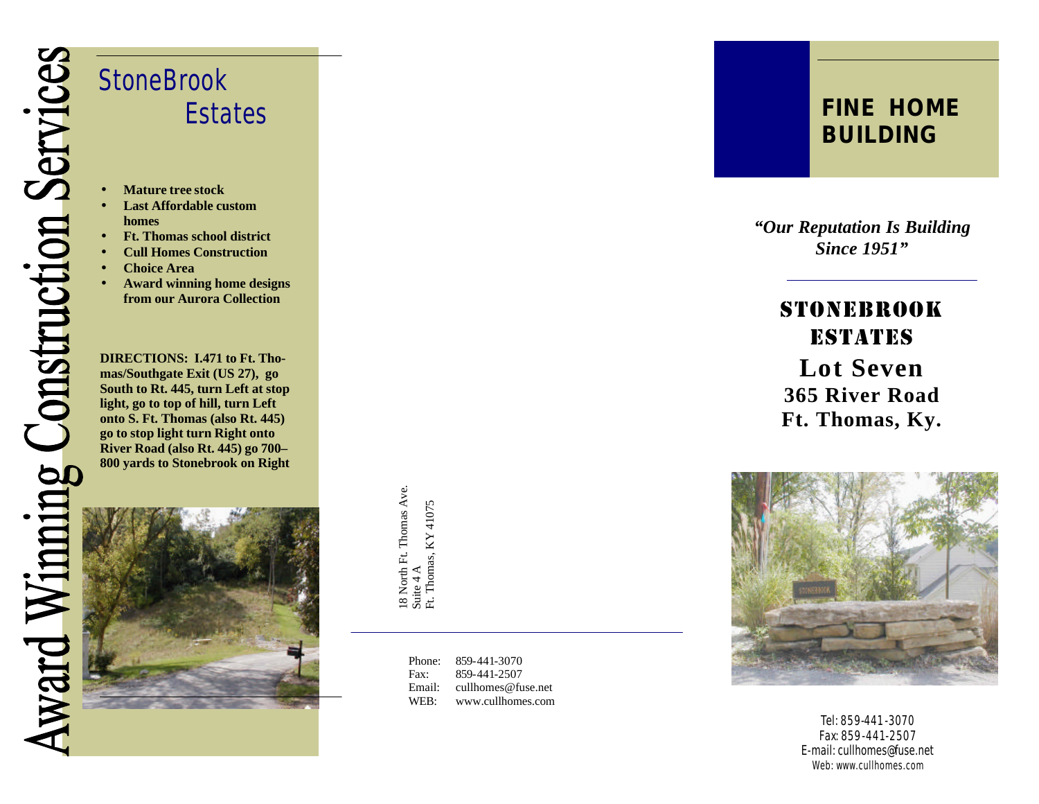

• **Mature tree stock** • **Last Affordable custom** 

**StoneBrook** 

• **Choice Area**

• **Ft. Thomas school district** • **Cull Homes Construction**

**DIRECTIONS: I.471 to Ft. Thomas/Southgate Exit (US 27), go South to Rt. 445, turn Left at stop light, go to top of hill, turn Left onto S. Ft. Thomas (also Rt. 445) go to stop light turn Right onto** 

• **Award winning home designs from our Aurora Collection**

Estates

**homes**

18 North Ft. Thomas Ave. 18 North Ft. Thomas Ave.<br>Suite 4 A<br>Ft. Thomas, KY 41075 Ft. Thomas, KY 41075

> Phone: -441 -3070 Fax: -441 -2507 Email: cullhomes@fuse.net WEB: www.cullhomes.com

## *FINE HOME BUILDING*

*"Our Reputation Is Building Since 1951"*

> *STONEBrook Estates* **Lot Seven 365 River Road Ft. Thomas, Ky.**



Tel: 859-441 -3070 Fax: 859 -441 -2507 E -mail: cullhomes@fuse.net Web: www.cullhomes.com